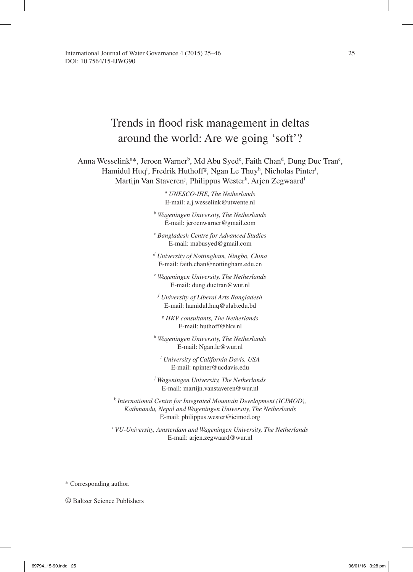# Trends in flood risk management in deltas around the world: Are we going 'soft'?

Anna Wesselink<sup>a\*</sup>, Jeroen Warner<sup>b</sup>, Md Abu Syed<sup>c</sup>, Faith Chan<sup>d</sup>, Dung Duc Tran<sup>e</sup>, Hamidul Huq<sup>f</sup>, Fredrik Huthoff<sup>g</sup>, Ngan Le Thuy<sup>h</sup>, Nicholas Pinter<sup>i</sup>, Martijn Van Staveren<sup>j</sup>, Philippus Wester<sup>k</sup>, Arjen Zegwaard<sup>l</sup>

> *a UNESCO-IHE, The Netherlands*  E-mail: a.j.wesselink@utwente.nl

*b Wageningen University, The Netherlands* E-mail: jeroenwarner@gmail.com

*c Bangladesh Centre for Advanced Studies* E-mail: mabusyed@gmail.com

*d University of Nottingham, Ningbo, China* E-mail: faith.chan@nottingham.edu.cn

*e Wageningen University, The Netherlands* E-mail: dung.ductran@wur.nl

*f University of Liberal Arts Bangladesh*  E-mail: hamidul.huq@ulab.edu.bd

*g HKV consultants, The Netherlands* E-mail: huthoff@hkv.nl

*h Wageningen University, The Netherlands* E-mail: Ngan.le@wur.nl

*i University of California Davis, USA* E-mail: npinter@ucdavis.edu

*j Wageningen University, The Netherlands* E-mail: martijn.vanstaveren@wur.nl

*k International Centre for Integrated Mountain Development (ICIMOD), Kathmandu, Nepal and Wageningen University, The Netherlands* E-mail: philippus.wester@icimod.org

<sup>l</sup> VU-University, Amsterdam and Wageningen University, The Netherlands E-mail: arjen.zegwaard@wur.nl

\* Corresponding author.

© Baltzer Science Publishers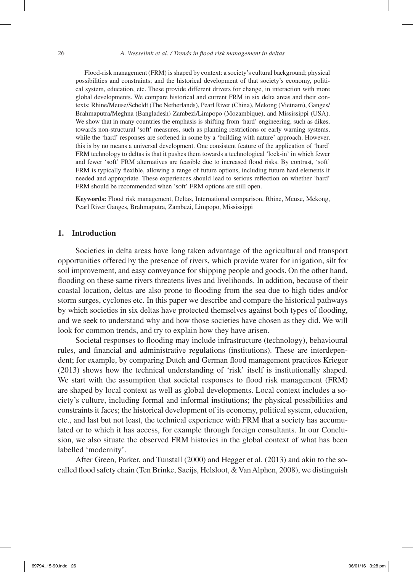Flood-risk management (FRM) is shaped by context: a society's cultural background; physical possibilities and constraints; and the historical development of that society's economy, political system, education, etc. These provide different drivers for change, in interaction with more global developments. We compare historical and current FRM in six delta areas and their contexts: Rhine/Meuse/Scheldt (The Netherlands), Pearl River (China), Mekong (Vietnam), Ganges/ Brahmaputra/Meghna (Bangladesh) Zambezi/Limpopo (Mozambique), and Mississippi (USA). We show that in many countries the emphasis is shifting from 'hard' engineering, such as dikes, towards non-structural 'soft' measures, such as planning restrictions or early warning systems, while the 'hard' responses are softened in some by a 'building with nature' approach. However, this is by no means a universal development. One consistent feature of the application of 'hard' FRM technology to deltas is that it pushes them towards a technological 'lock-in' in which fewer and fewer 'soft' FRM alternatives are feasible due to increased flood risks. By contrast, 'soft' FRM is typically flexible, allowing a range of future options, including future hard elements if needed and appropriate. These experiences should lead to serious reflection on whether 'hard' FRM should be recommended when 'soft' FRM options are still open.

**Keywords:** Flood risk management, Deltas, International comparison, Rhine, Meuse, Mekong, Pearl River Ganges, Brahmaputra, Zambezi, Limpopo, Mississippi

# **1. Introduction**

Societies in delta areas have long taken advantage of the agricultural and transport opportunities offered by the presence of rivers, which provide water for irrigation, silt for soil improvement, and easy conveyance for shipping people and goods. On the other hand, flooding on these same rivers threatens lives and livelihoods. In addition, because of their coastal location, deltas are also prone to flooding from the sea due to high tides and/or storm surges, cyclones etc. In this paper we describe and compare the historical pathways by which societies in six deltas have protected themselves against both types of flooding, and we seek to understand why and how those societies have chosen as they did. We will look for common trends, and try to explain how they have arisen.

Societal responses to flooding may include infrastructure (technology), behavioural rules, and financial and administrative regulations (institutions). These are interdependent; for example, by comparing Dutch and German flood management practices Krieger (2013) shows how the technical understanding of 'risk' itself is institutionally shaped. We start with the assumption that societal responses to flood risk management (FRM) are shaped by local context as well as global developments. Local context includes a society's culture, including formal and informal institutions; the physical possibilities and constraints it faces; the historical development of its economy, political system, education, etc., and last but not least, the technical experience with FRM that a society has accumulated or to which it has access, for example through foreign consultants. In our Conclusion, we also situate the observed FRM histories in the global context of what has been labelled 'modernity'.

After Green, Parker, and Tunstall (2000) and Hegger et al. (2013) and akin to the socalled flood safety chain (Ten Brinke, Saeijs, Helsloot, & Van Alphen, 2008), we distinguish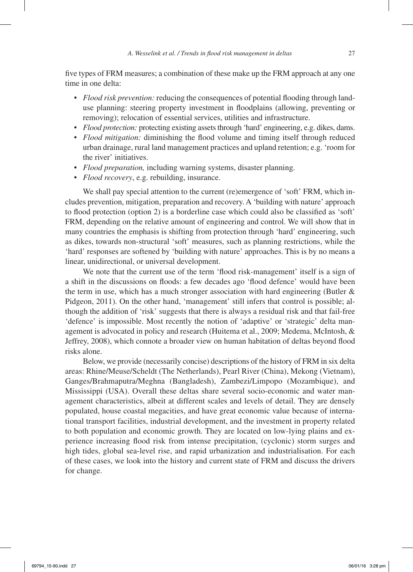five types of FRM measures; a combination of these make up the FRM approach at any one time in one delta:

- *Flood risk prevention:* reducing the consequences of potential flooding through landuse planning: steering property investment in floodplains (allowing, preventing or removing); relocation of essential services, utilities and infrastructure.
- *Flood protection:* protecting existing assets through 'hard' engineering, e.g. dikes, dams.
- *Flood mitigation:* diminishing the flood volume and timing itself through reduced urban drainage, rural land management practices and upland retention; e.g. 'room for the river' initiatives.
- *Flood preparation,* including warning systems, disaster planning.
- *Flood recovery*, e.g. rebuilding, insurance.

We shall pay special attention to the current (re)emergence of 'soft' FRM, which includes prevention, mitigation, preparation and recovery. A 'building with nature' approach to flood protection (option 2) is a borderline case which could also be classified as 'soft' FRM, depending on the relative amount of engineering and control. We will show that in many countries the emphasis is shifting from protection through 'hard' engineering, such as dikes, towards non-structural 'soft' measures, such as planning restrictions, while the 'hard' responses are softened by 'building with nature' approaches. This is by no means a linear, unidirectional, or universal development.

We note that the current use of the term 'flood risk-management' itself is a sign of a shift in the discussions on floods: a few decades ago 'flood defence' would have been the term in use, which has a much stronger association with hard engineering (Butler  $\&$ Pidgeon, 2011). On the other hand, 'management' still infers that control is possible; although the addition of 'risk' suggests that there is always a residual risk and that fail-free 'defence' is impossible. Most recently the notion of 'adaptive' or 'strategic' delta management is advocated in policy and research (Huitema et al., 2009; Medema, McIntosh, & Jeffrey, 2008), which connote a broader view on human habitation of deltas beyond flood risks alone.

Below, we provide (necessarily concise) descriptions of the history of FRM in six delta areas: Rhine/Meuse/Scheldt (The Netherlands), Pearl River (China), Mekong (Vietnam), Ganges/Brahmaputra/Meghna (Bangladesh), Zambezi/Limpopo (Mozambique), and Mississippi (USA). Overall these deltas share several socio-economic and water management characteristics, albeit at different scales and levels of detail. They are densely populated, house coastal megacities, and have great economic value because of international transport facilities, industrial development, and the investment in property related to both population and economic growth. They are located on low-lying plains and experience increasing flood risk from intense precipitation, (cyclonic) storm surges and high tides, global sea-level rise, and rapid urbanization and industrialisation. For each of these cases, we look into the history and current state of FRM and discuss the drivers for change.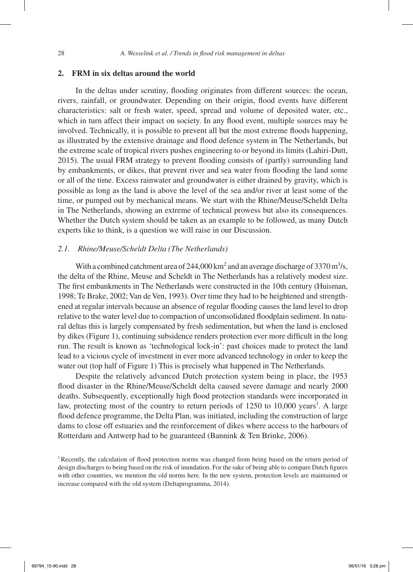# **2. FRM in six deltas around the world**

In the deltas under scrutiny, flooding originates from different sources: the ocean, rivers, rainfall, or groundwater. Depending on their origin, flood events have different characteristics: salt or fresh water, speed, spread and volume of deposited water, etc., which in turn affect their impact on society. In any flood event, multiple sources may be involved. Technically, it is possible to prevent all but the most extreme floods happening, as illustrated by the extensive drainage and flood defence system in The Netherlands, but the extreme scale of tropical rivers pushes engineering to or beyond its limits (Lahiri-Dutt, 2015). The usual FRM strategy to prevent flooding consists of (partly) surrounding land by embankments, or dikes, that prevent river and sea water from flooding the land some or all of the time. Excess rainwater and groundwater is either drained by gravity, which is possible as long as the land is above the level of the sea and/or river at least some of the time, or pumped out by mechanical means. We start with the Rhine/Meuse/Scheldt Delta in The Netherlands, showing an extreme of technical prowess but also its consequences. Whether the Dutch system should be taken as an example to be followed, as many Dutch experts like to think, is a question we will raise in our Discussion.

#### *2.1. Rhine/Meuse/Scheldt Delta (The Netherlands)*

With a combined catchment area of  $244,000 \text{ km}^2$  and an average discharge of 3370 m<sup>3</sup>/s, the delta of the Rhine, Meuse and Scheldt in The Netherlands has a relatively modest size. The first embankments in The Netherlands were constructed in the 10th century (Huisman, 1998; Te Brake, 2002; Van de Ven, 1993). Over time they had to be heightened and strengthened at regular intervals because an absence of regular flooding causes the land level to drop relative to the water level due to compaction of unconsolidated floodplain sediment. In natural deltas this is largely compensated by fresh sedimentation, but when the land is enclosed by dikes (Figure 1), continuing subsidence renders protection ever more difficult in the long run. The result is known as 'technological lock-in': past choices made to protect the land lead to a vicious cycle of investment in ever more advanced technology in order to keep the water out (top half of Figure 1) This is precisely what happened in The Netherlands.

Despite the relatively advanced Dutch protection system being in place, the 1953 flood disaster in the Rhine/Meuse/Scheldt delta caused severe damage and nearly 2000 deaths. Subsequently, exceptionally high flood protection standards were incorporated in law, protecting most of the country to return periods of  $1250$  to  $10,000$  years<sup>1</sup>. A large flood defence programme, the Delta Plan, was initiated, including the construction of large dams to close off estuaries and the reinforcement of dikes where access to the harbours of Rotterdam and Antwerp had to be guaranteed (Bannink & Ten Brinke, 2006).

<sup>&</sup>lt;sup>1</sup>Recently, the calculation of flood protection norms was changed from being based on the return period of design discharges to being based on the risk of inundation. For the sake of being able to compare Dutch figures with other countries, we mention the old norms here. In the new system, protection levels are maintained or increase compared with the old system (Deltaprogramma, 2014).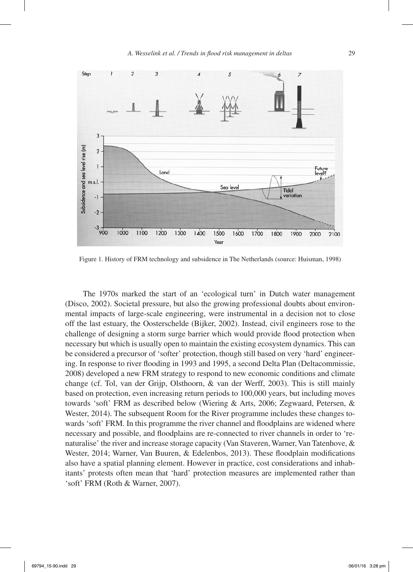

Figure 1. History of FRM technology and subsidence in The Netherlands (source: Huisman, 1998)

The 1970s marked the start of an 'ecological turn' in Dutch water management (Disco, 2002). Societal pressure, but also the growing professional doubts about environmental impacts of large-scale engineering, were instrumental in a decision not to close off the last estuary, the Oosterschelde (Bijker, 2002). Instead, civil engineers rose to the challenge of designing a storm surge barrier which would provide flood protection when necessary but which is usually open to maintain the existing ecosystem dynamics. This can be considered a precursor of 'softer' protection, though still based on very 'hard' engineering. In response to river flooding in 1993 and 1995, a second Delta Plan (Deltacommissie, 2008) developed a new FRM strategy to respond to new economic conditions and climate change (cf. Tol, van der Grijp, Olsthoorn, & van der Werff, 2003). This is still mainly based on protection, even increasing return periods to 100,000 years, but including moves towards 'soft' FRM as described below (Wiering & Arts, 2006; Zegwaard, Petersen, & Wester, 2014). The subsequent Room for the River programme includes these changes towards 'soft' FRM. In this programme the river channel and floodplains are widened where necessary and possible, and floodplains are re-connected to river channels in order to 'renaturalise' the river and increase storage capacity (Van Staveren, Warner, Van Tatenhove, & Wester, 2014; Warner, Van Buuren, & Edelenbos, 2013). These floodplain modifications also have a spatial planning element. However in practice, cost considerations and inhabitants' protests often mean that 'hard' protection measures are implemented rather than 'soft' FRM (Roth & Warner, 2007).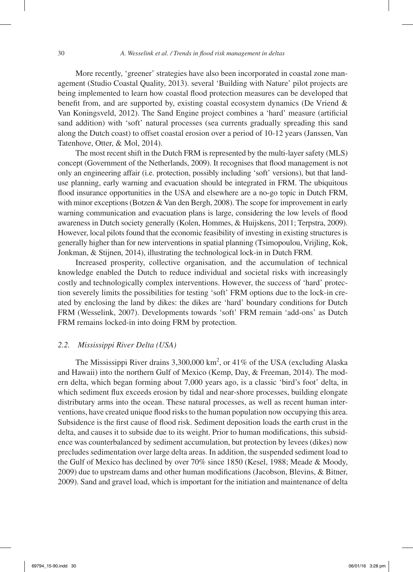More recently, 'greener' strategies have also been incorporated in coastal zone management (Studio Coastal Quality, 2013). several 'Building with Nature' pilot projects are being implemented to learn how coastal flood protection measures can be developed that benefit from, and are supported by, existing coastal ecosystem dynamics (De Vriend & Van Koningsveld, 2012). The Sand Engine project combines a 'hard' measure (artificial sand addition) with 'soft' natural processes (sea currents gradually spreading this sand along the Dutch coast) to offset coastal erosion over a period of 10-12 years (Janssen, Van Tatenhove, Otter, & Mol, 2014).

The most recent shift in the Dutch FRM is represented by the multi-layer safety (MLS) concept (Government of the Netherlands, 2009). It recognises that flood management is not only an engineering affair (i.e. protection, possibly including 'soft' versions), but that landuse planning, early warning and evacuation should be integrated in FRM. The ubiquitous flood insurance opportunities in the USA and elsewhere are a no-go topic in Dutch FRM, with minor exceptions (Botzen & Van den Bergh, 2008). The scope for improvement in early warning communication and evacuation plans is large, considering the low levels of flood awareness in Dutch society generally (Kolen, Hommes, & Huijskens, 2011; Terpstra, 2009). However, local pilots found that the economic feasibility of investing in existing structures is generally higher than for new interventions in spatial planning (Tsimopoulou, Vrijling, Kok, Jonkman, & Stijnen, 2014), illustrating the technological lock-in in Dutch FRM.

Increased prosperity, collective organisation, and the accumulation of technical knowledge enabled the Dutch to reduce individual and societal risks with increasingly costly and technologically complex interventions. However, the success of 'hard' protection severely limits the possibilities for testing 'soft' FRM options due to the lock-in created by enclosing the land by dikes: the dikes are 'hard' boundary conditions for Dutch FRM (Wesselink, 2007). Developments towards 'soft' FRM remain 'add-ons' as Dutch FRM remains locked-in into doing FRM by protection.

#### *2.2. Mississippi River Delta (USA)*

The Mississippi River drains 3,300,000 km<sup>2</sup>, or 41% of the USA (excluding Alaska and Hawaii) into the northern Gulf of Mexico (Kemp, Day, & Freeman, 2014). The modern delta, which began forming about 7,000 years ago, is a classic 'bird's foot' delta, in which sediment flux exceeds erosion by tidal and near-shore processes, building elongate distributary arms into the ocean. These natural processes, as well as recent human interventions, have created unique flood risks to the human population now occupying this area. Subsidence is the first cause of flood risk. Sediment deposition loads the earth crust in the delta, and causes it to subside due to its weight. Prior to human modifications, this subsidence was counterbalanced by sediment accumulation, but protection by levees (dikes) now precludes sedimentation over large delta areas. In addition, the suspended sediment load to the Gulf of Mexico has declined by over 70% since 1850 (Kesel, 1988; Meade & Moody, 2009) due to upstream dams and other human modifications (Jacobson, Blevins, & Bitner, 2009). Sand and gravel load, which is important for the initiation and maintenance of delta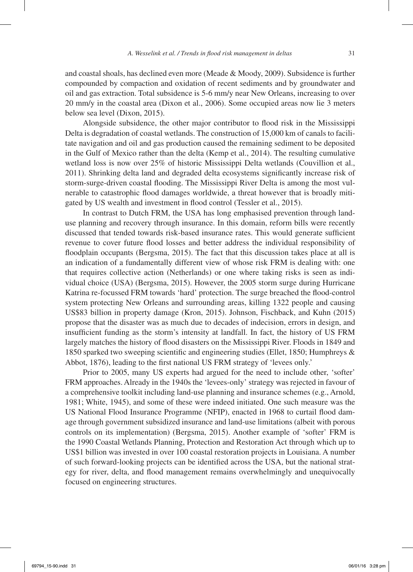and coastal shoals, has declined even more (Meade & Moody, 2009). Subsidence is further compounded by compaction and oxidation of recent sediments and by groundwater and oil and gas extraction. Total subsidence is 5-6 mm/y near New Orleans, increasing to over 20 mm/y in the coastal area (Dixon et al., 2006). Some occupied areas now lie 3 meters below sea level (Dixon, 2015).

Alongside subsidence, the other major contributor to flood risk in the Mississippi Delta is degradation of coastal wetlands. The construction of 15,000 km of canals to facilitate navigation and oil and gas production caused the remaining sediment to be deposited in the Gulf of Mexico rather than the delta (Kemp et al., 2014). The resulting cumulative wetland loss is now over 25% of historic Mississippi Delta wetlands (Couvillion et al., 2011). Shrinking delta land and degraded delta ecosystems significantly increase risk of storm-surge-driven coastal flooding. The Mississippi River Delta is among the most vulnerable to catastrophic flood damages worldwide, a threat however that is broadly mitigated by US wealth and investment in flood control (Tessler et al., 2015).

In contrast to Dutch FRM, the USA has long emphasised prevention through landuse planning and recovery through insurance. In this domain, reform bills were recently discussed that tended towards risk-based insurance rates. This would generate sufficient revenue to cover future flood losses and better address the individual responsibility of floodplain occupants (Bergsma, 2015). The fact that this discussion takes place at all is an indication of a fundamentally different view of whose risk FRM is dealing with: one that requires collective action (Netherlands) or one where taking risks is seen as individual choice (USA) (Bergsma, 2015). However, the 2005 storm surge during Hurricane Katrina re-focussed FRM towards 'hard' protection. The surge breached the flood-control system protecting New Orleans and surrounding areas, killing 1322 people and causing US\$83 billion in property damage (Kron, 2015). Johnson, Fischback, and Kuhn (2015) propose that the disaster was as much due to decades of indecision, errors in design, and insufficient funding as the storm's intensity at landfall. In fact, the history of US FRM largely matches the history of flood disasters on the Mississippi River. Floods in 1849 and 1850 sparked two sweeping scientific and engineering studies (Ellet, 1850; Humphreys & Abbot, 1876), leading to the first national US FRM strategy of 'levees only.'

Prior to 2005, many US experts had argued for the need to include other, 'softer' FRM approaches. Already in the 1940s the 'levees-only' strategy was rejected in favour of a comprehensive toolkit including land-use planning and insurance schemes (e.g., Arnold, 1981; White, 1945), and some of these were indeed initiated. One such measure was the US National Flood Insurance Programme (NFIP), enacted in 1968 to curtail flood damage through government subsidized insurance and land-use limitations (albeit with porous controls on its implementation) (Bergsma, 2015). Another example of 'softer' FRM is the 1990 Coastal Wetlands Planning, Protection and Restoration Act through which up to US\$1 billion was invested in over 100 coastal restoration projects in Louisiana. A number of such forward-looking projects can be identified across the USA, but the national strategy for river, delta, and flood management remains overwhelmingly and unequivocally focused on engineering structures.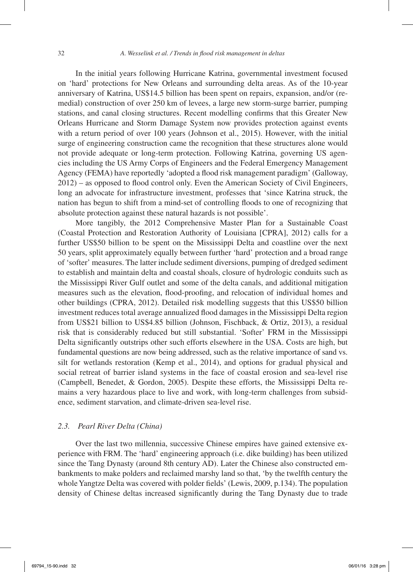In the initial years following Hurricane Katrina, governmental investment focused on 'hard' protections for New Orleans and surrounding delta areas. As of the 10-year anniversary of Katrina, US\$14.5 billion has been spent on repairs, expansion, and/or (remedial) construction of over 250 km of levees, a large new storm-surge barrier, pumping stations, and canal closing structures. Recent modelling confirms that this Greater New Orleans Hurricane and Storm Damage System now provides protection against events with a return period of over 100 years (Johnson et al., 2015). However, with the initial surge of engineering construction came the recognition that these structures alone would not provide adequate or long-term protection. Following Katrina, governing US agencies including the US Army Corps of Engineers and the Federal Emergency Management Agency (FEMA) have reportedly 'adopted a flood risk management paradigm' (Galloway, 2012) – as opposed to flood control only. Even the American Society of Civil Engineers, long an advocate for infrastructure investment, professes that 'since Katrina struck, the nation has begun to shift from a mind-set of controlling floods to one of recognizing that absolute protection against these natural hazards is not possible'.

More tangibly, the 2012 Comprehensive Master Plan for a Sustainable Coast (Coastal Protection and Restoration Authority of Louisiana [CPRA], 2012) calls for a further US\$50 billion to be spent on the Mississippi Delta and coastline over the next 50 years, split approximately equally between further 'hard' protection and a broad range of 'softer' measures. The latter include sediment diversions, pumping of dredged sediment to establish and maintain delta and coastal shoals, closure of hydrologic conduits such as the Mississippi River Gulf outlet and some of the delta canals, and additional mitigation measures such as the elevation, flood-proofing, and relocation of individual homes and other buildings (CPRA, 2012). Detailed risk modelling suggests that this US\$50 billion investment reduces total average annualized flood damages in the Mississippi Delta region from US\$21 billion to US\$4.85 billion (Johnson, Fischback, & Ortiz, 2013), a residual risk that is considerably reduced but still substantial. 'Softer' FRM in the Mississippi Delta significantly outstrips other such efforts elsewhere in the USA. Costs are high, but fundamental questions are now being addressed, such as the relative importance of sand vs. silt for wetlands restoration (Kemp et al., 2014), and options for gradual physical and social retreat of barrier island systems in the face of coastal erosion and sea-level rise (Campbell, Benedet, & Gordon, 2005). Despite these efforts, the Mississippi Delta remains a very hazardous place to live and work, with long-term challenges from subsidence, sediment starvation, and climate-driven sea-level rise.

# *2.3. Pearl River Delta (China)*

Over the last two millennia, successive Chinese empires have gained extensive experience with FRM. The 'hard' engineering approach (i.e. dike building) has been utilized since the Tang Dynasty (around 8th century AD). Later the Chinese also constructed embankments to make polders and reclaimed marshy land so that, 'by the twelfth century the whole Yangtze Delta was covered with polder fields' (Lewis, 2009, p.134). The population density of Chinese deltas increased significantly during the Tang Dynasty due to trade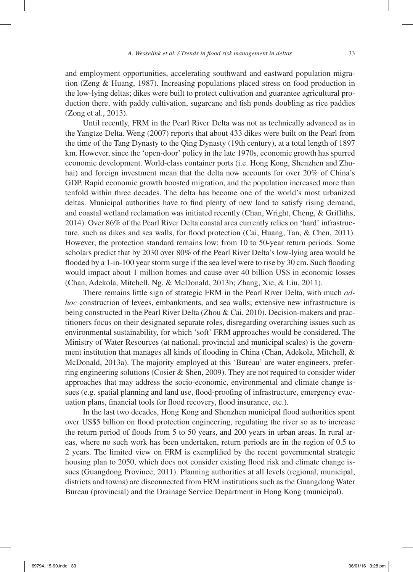and employment opportunities, accelerating southward and eastward population migration (Zeng & Huang, 1987). Increasing populations placed stress on food production in the low-lying deltas; dikes were built to protect cultivation and guarantee agricultural production there, with paddy cultivation, sugarcane and fish ponds doubling as rice paddies (Zong et al., 2013).

Until recently, FRM in the Pearl River Delta was not as technically advanced as in the Yangtze Delta. Weng (2007) reports that about 433 dikes were built on the Pearl from the time of the Tang Dynasty to the Qing Dynasty (19th century), at a total length of 1897 km. However, since the 'open-door' policy in the late 1970s, economic growth has spurred economic development. World-class container ports (i.e. Hong Kong, Shenzhen and Zhuhai) and foreign investment mean that the delta now accounts for over 20% of China's GDP. Rapid economic growth boosted migration, and the population increased more than tenfold within three decades. The delta has become one of the world's most urbanized deltas. Municipal authorities have to find plenty of new land to satisfy rising demand, and coastal wetland reclamation was initiated recently (Chan, Wright, Cheng, & Griffiths, 2014). Over 86% of the Pearl River Delta coastal area currently relies on 'hard' infrastructure, such as dikes and sea walls, for flood protection (Cai, Huang, Tan, & Chen, 2011). However, the protection standard remains low: from 10 to 50-year return periods. Some scholars predict that by 2030 over 80% of the Pearl River Delta's low-lying area would be flooded by a 1-in-100 year storm surge if the sea level were to rise by 30 cm. Such flooding would impact about 1 million homes and cause over 40 billion US\$ in economic losses (Chan, Adekola, Mitchell, Ng, & McDonald, 2013b; Zhang, Xie, & Liu, 2011).

There remains little sign of strategic FRM in the Pearl River Delta, with much *adhoc* construction of levees, embankments, and sea walls; extensive new infrastructure is being constructed in the Pearl River Delta (Zhou & Cai, 2010). Decision-makers and practitioners focus on their designated separate roles, disregarding overarching issues such as environmental sustainability, for which 'soft' FRM approaches would be considered. The Ministry of Water Resources (at national, provincial and municipal scales) is the government institution that manages all kinds of flooding in China (Chan, Adekola, Mitchell, & McDonald, 2013a). The majority employed at this 'Bureau' are water engineers, preferring engineering solutions (Cosier & Shen, 2009). They are not required to consider wider approaches that may address the socio-economic, environmental and climate change issues (e.g. spatial planning and land use, flood-proofing of infrastructure, emergency evacuation plans, financial tools for flood recovery, flood insurance, etc.).

In the last two decades, Hong Kong and Shenzhen municipal flood authorities spent over US\$5 billion on flood protection engineering, regulating the river so as to increase the return period of floods from 5 to 50 years, and 200 years in urban areas. In rural areas, where no such work has been undertaken, return periods are in the region of 0.5 to 2 years. The limited view on FRM is exemplified by the recent governmental strategic housing plan to 2050, which does not consider existing flood risk and climate change issues (Guangdong Province, 2011). Planning authorities at all levels (regional, municipal, districts and towns) are disconnected from FRM institutions such as the Guangdong Water Bureau (provincial) and the Drainage Service Department in Hong Kong (municipal).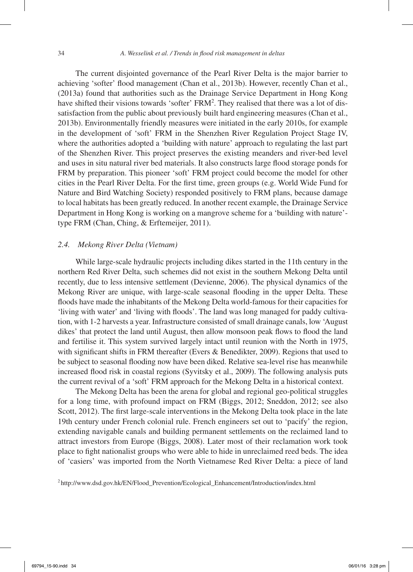The current disjointed governance of the Pearl River Delta is the major barrier to achieving 'softer' flood management (Chan et al., 2013b). However, recently Chan et al., (2013a) found that authorities such as the Drainage Service Department in Hong Kong have shifted their visions towards 'softer' FRM<sup>2</sup>. They realised that there was a lot of dissatisfaction from the public about previously built hard engineering measures (Chan et al., 2013b). Environmentally friendly measures were initiated in the early 2010s, for example in the development of 'soft' FRM in the Shenzhen River Regulation Project Stage IV, where the authorities adopted a 'building with nature' approach to regulating the last part of the Shenzhen River. This project preserves the existing meanders and river-bed level and uses in situ natural river bed materials. It also constructs large flood storage ponds for FRM by preparation. This pioneer 'soft' FRM project could become the model for other cities in the Pearl River Delta. For the first time, green groups (e.g. World Wide Fund for Nature and Bird Watching Society) responded positively to FRM plans, because damage to local habitats has been greatly reduced. In another recent example, the Drainage Service Department in Hong Kong is working on a mangrove scheme for a 'building with nature' type FRM (Chan, Ching, & Erftemeijer, 2011).

# *2.4. Mekong River Delta (Vietnam)*

While large-scale hydraulic projects including dikes started in the 11th century in the northern Red River Delta, such schemes did not exist in the southern Mekong Delta until recently, due to less intensive settlement (Devienne, 2006). The physical dynamics of the Mekong River are unique, with large-scale seasonal flooding in the upper Delta. These floods have made the inhabitants of the Mekong Delta world-famous for their capacities for 'living with water' and 'living with floods'. The land was long managed for paddy cultivation, with 1-2 harvests a year. Infrastructure consisted of small drainage canals, low 'August dikes' that protect the land until August, then allow monsoon peak flows to flood the land and fertilise it. This system survived largely intact until reunion with the North in 1975, with significant shifts in FRM thereafter (Evers & Benedikter, 2009). Regions that used to be subject to seasonal flooding now have been diked. Relative sea-level rise has meanwhile increased flood risk in coastal regions (Syvitsky et al., 2009). The following analysis puts the current revival of a 'soft' FRM approach for the Mekong Delta in a historical context.

The Mekong Delta has been the arena for global and regional geo-political struggles for a long time, with profound impact on FRM (Biggs, 2012; Sneddon, 2012; see also Scott, 2012). The first large-scale interventions in the Mekong Delta took place in the late 19th century under French colonial rule. French engineers set out to 'pacify' the region, extending navigable canals and building permanent settlements on the reclaimed land to attract investors from Europe (Biggs, 2008). Later most of their reclamation work took place to fight nationalist groups who were able to hide in unreclaimed reed beds. The idea of 'casiers' was imported from the North Vietnamese Red River Delta: a piece of land

<sup>2</sup> http://www.dsd.gov.hk/EN/Flood\_Prevention/Ecological\_Enhancement/Introduction/index.html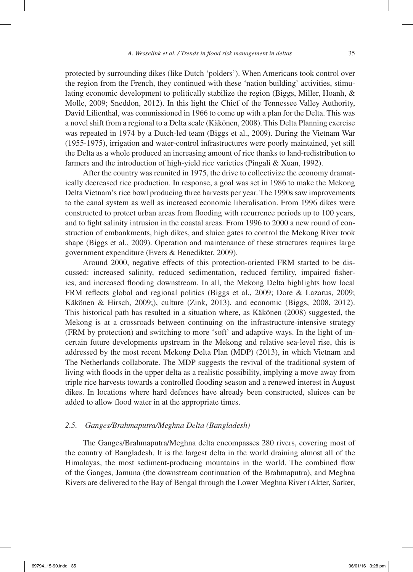protected by surrounding dikes (like Dutch 'polders'). When Americans took control over the region from the French, they continued with these 'nation building' activities, stimulating economic development to politically stabilize the region (Biggs, Miller, Hoanh, & Molle, 2009; Sneddon, 2012). In this light the Chief of the Tennessee Valley Authority, David Lilienthal, was commissioned in 1966 to come up with a plan for the Delta. This was a novel shift from a regional to a Delta scale (Käkönen, 2008). This Delta Planning exercise was repeated in 1974 by a Dutch-led team (Biggs et al., 2009). During the Vietnam War (1955-1975), irrigation and water-control infrastructures were poorly maintained, yet still the Delta as a whole produced an increasing amount of rice thanks to land-redistribution to farmers and the introduction of high-yield rice varieties (Pingali & Xuan, 1992).

After the country was reunited in 1975, the drive to collectivize the economy dramatically decreased rice production. In response, a goal was set in 1986 to make the Mekong Delta Vietnam's rice bowl producing three harvests per year. The 1990s saw improvements to the canal system as well as increased economic liberalisation. From 1996 dikes were constructed to protect urban areas from flooding with recurrence periods up to 100 years, and to fight salinity intrusion in the coastal areas. From 1996 to 2000 a new round of construction of embankments, high dikes, and sluice gates to control the Mekong River took shape (Biggs et al., 2009). Operation and maintenance of these structures requires large government expenditure (Evers & Benedikter, 2009).

Around 2000, negative effects of this protection-oriented FRM started to be discussed: increased salinity, reduced sedimentation, reduced fertility, impaired fisheries, and increased flooding downstream. In all, the Mekong Delta highlights how local FRM reflects global and regional politics (Biggs et al., 2009; Dore & Lazarus, 2009; Käkönen & Hirsch, 2009;), culture (Zink, 2013), and economic (Biggs, 2008, 2012). This historical path has resulted in a situation where, as Käkönen (2008) suggested, the Mekong is at a crossroads between continuing on the infrastructure-intensive strategy (FRM by protection) and switching to more 'soft' and adaptive ways. In the light of uncertain future developments upstream in the Mekong and relative sea-level rise, this is addressed by the most recent Mekong Delta Plan (MDP) (2013), in which Vietnam and The Netherlands collaborate. The MDP suggests the revival of the traditional system of living with floods in the upper delta as a realistic possibility, implying a move away from triple rice harvests towards a controlled flooding season and a renewed interest in August dikes. In locations where hard defences have already been constructed, sluices can be added to allow flood water in at the appropriate times.

# *2.5. Ganges/Brahmaputra/Meghna Delta (Bangladesh)*

The Ganges/Brahmaputra/Meghna delta encompasses 280 rivers, covering most of the country of Bangladesh. It is the largest delta in the world draining almost all of the Himalayas, the most sediment-producing mountains in the world. The combined flow of the Ganges, Jamuna (the downstream continuation of the Brahmaputra), and Meghna Rivers are delivered to the Bay of Bengal through the Lower Meghna River (Akter, Sarker,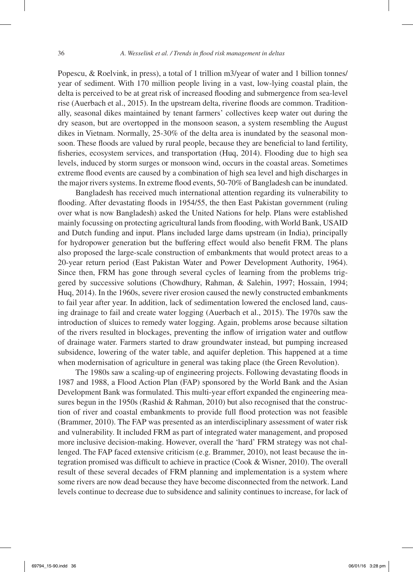Popescu, & Roelvink, in press), a total of 1 trillion m3/year of water and 1 billion tonnes/ year of sediment. With 170 million people living in a vast, low-lying coastal plain, the delta is perceived to be at great risk of increased flooding and submergence from sea-level rise (Auerbach et al., 2015). In the upstream delta, riverine floods are common. Traditionally, seasonal dikes maintained by tenant farmers' collectives keep water out during the dry season, but are overtopped in the monsoon season, a system resembling the August dikes in Vietnam. Normally, 25-30% of the delta area is inundated by the seasonal monsoon. These floods are valued by rural people, because they are beneficial to land fertility, fisheries, ecosystem services, and transportation (Huq, 2014). Flooding due to high sea levels, induced by storm surges or monsoon wind, occurs in the coastal areas. Sometimes extreme flood events are caused by a combination of high sea level and high discharges in the major rivers systems. In extreme flood events, 50-70% of Bangladesh can be inundated.

Bangladesh has received much international attention regarding its vulnerability to flooding. After devastating floods in 1954/55, the then East Pakistan government (ruling over what is now Bangladesh) asked the United Nations for help. Plans were established mainly focussing on protecting agricultural lands from flooding, with World Bank, USAID and Dutch funding and input. Plans included large dams upstream (in India), principally for hydropower generation but the buffering effect would also benefit FRM. The plans also proposed the large-scale construction of embankments that would protect areas to a 20-year return period (East Pakistan Water and Power Development Authority, 1964). Since then, FRM has gone through several cycles of learning from the problems triggered by successive solutions (Chowdhury, Rahman, & Salehin, 1997; Hossain, 1994; Huq, 2014). In the 1960s, severe river erosion caused the newly constructed embankments to fail year after year. In addition, lack of sedimentation lowered the enclosed land, causing drainage to fail and create water logging (Auerbach et al., 2015). The 1970s saw the introduction of sluices to remedy water logging. Again, problems arose because siltation of the rivers resulted in blockages, preventing the inflow of irrigation water and outflow of drainage water. Farmers started to draw groundwater instead, but pumping increased subsidence, lowering of the water table, and aquifer depletion. This happened at a time when modernisation of agriculture in general was taking place (the Green Revolution).

The 1980s saw a scaling-up of engineering projects. Following devastating floods in 1987 and 1988, a Flood Action Plan (FAP) sponsored by the World Bank and the Asian Development Bank was formulated. This multi-year effort expanded the engineering measures begun in the 1950s (Rashid & Rahman, 2010) but also recognised that the construction of river and coastal embankments to provide full flood protection was not feasible (Brammer, 2010). The FAP was presented as an interdisciplinary assessment of water risk and vulnerability. It included FRM as part of integrated water management, and proposed more inclusive decision-making. However, overall the 'hard' FRM strategy was not challenged. The FAP faced extensive criticism (e.g. Brammer, 2010), not least because the integration promised was difficult to achieve in practice (Cook & Wisner, 2010). The overall result of these several decades of FRM planning and implementation is a system where some rivers are now dead because they have become disconnected from the network. Land levels continue to decrease due to subsidence and salinity continues to increase, for lack of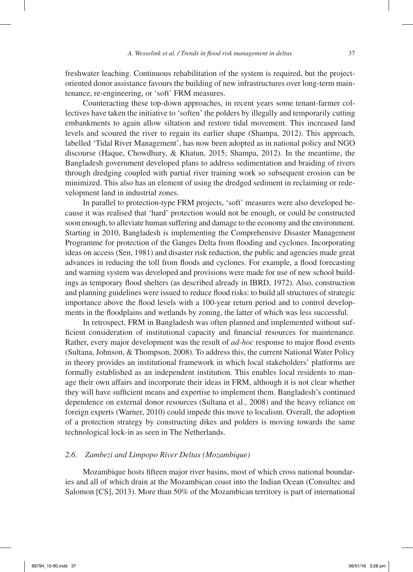freshwater leaching. Continuous rehabilitation of the system is required, but the projectoriented donor assistance favours the building of new infrastructures over long-term maintenance, re-engineering, or 'soft' FRM measures.

Counteracting these top-down approaches, in recent years some tenant-farmer collectives have taken the initiative to 'soften' the polders by illegally and temporarily cutting embankments to again allow siltation and restore tidal movement. This increased land levels and scoured the river to regain its earlier shape (Shampa, 2012). This approach, labelled 'Tidal River Management', has now been adopted as in national policy and NGO discourse (Haque, Chowdhury, & Khatun, 2015; Shampa, 2012). In the meantime, the Bangladesh government developed plans to address sedimentation and braiding of rivers through dredging coupled with partial river training work so subsequent erosion can be minimized. This also has an element of using the dredged sediment in reclaiming or redevelopment land in industrial zones.

In parallel to protection-type FRM projects, 'soft' measures were also developed because it was realised that 'hard' protection would not be enough, or could be constructed soon enough, to alleviate human suffering and damage to the economy and the environment. Starting in 2010, Bangladesh is implementing the Comprehensive Disaster Management Programme for protection of the Ganges Delta from flooding and cyclones. Incorporating ideas on access (Sen, 1981) and disaster risk reduction, the public and agencies made great advances in reducing the toll from floods and cyclones. For example, a flood forecasting and warning system was developed and provisions were made for use of new school buildings as temporary flood shelters (as described already in IBRD, 1972). Also, construction and planning guidelines were issued to reduce flood risks: to build all structures of strategic importance above the flood levels with a 100-year return period and to control developments in the floodplains and wetlands by zoning, the latter of which was less successful.

In retrospect, FRM in Bangladesh was often planned and implemented without sufficient consideration of institutional capacity and financial resources for maintenance. Rather, every major development was the result of *ad-hoc* response to major flood events (Sultana, Johnson, & Thompson, 2008). To address this, the current National Water Policy in theory provides an institutional framework in which local stakeholders' platforms are formally established as an independent institution. This enables local residents to manage their own affairs and incorporate their ideas in FRM, although it is not clear whether they will have sufficient means and expertise to implement them. Bangladesh's continued dependence on external donor resources (Sultana et al., 2008) and the heavy reliance on foreign experts (Warner, 2010) could impede this move to localism. Overall, the adoption of a protection strategy by constructing dikes and polders is moving towards the same technological lock-in as seen in The Netherlands.

# *2.6. Zambezi and Limpopo River Deltas (Mozambique)*

Mozambique hosts fifteen major river basins, most of which cross national boundaries and all of which drain at the Mozambican coast into the Indian Ocean (Consultec and Salomon [CS], 2013). More than 50% of the Mozambican territory is part of international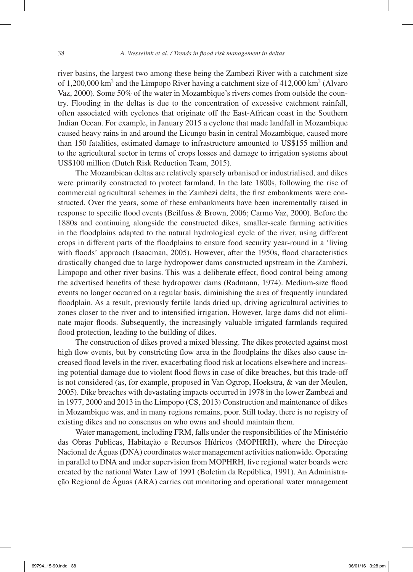river basins, the largest two among these being the Zambezi River with a catchment size of  $1,200,000$  km<sup>2</sup> and the Limpopo River having a catchment size of  $412,000$  km<sup>2</sup> (Alvaro Vaz, 2000). Some 50% of the water in Mozambique's rivers comes from outside the country. Flooding in the deltas is due to the concentration of excessive catchment rainfall, often associated with cyclones that originate off the East-African coast in the Southern Indian Ocean. For example, in January 2015 a cyclone that made landfall in Mozambique caused heavy rains in and around the Licungo basin in central Mozambique, caused more than 150 fatalities, estimated damage to infrastructure amounted to US\$155 million and to the agricultural sector in terms of crops losses and damage to irrigation systems about US\$100 million (Dutch Risk Reduction Team, 2015).

The Mozambican deltas are relatively sparsely urbanised or industrialised, and dikes were primarily constructed to protect farmland. In the late 1800s, following the rise of commercial agricultural schemes in the Zambezi delta, the first embankments were constructed. Over the years, some of these embankments have been incrementally raised in response to specific flood events (Beilfuss & Brown, 2006; Carmo Vaz, 2000). Before the 1880s and continuing alongside the constructed dikes, smaller-scale farming activities in the floodplains adapted to the natural hydrological cycle of the river, using different crops in different parts of the floodplains to ensure food security year-round in a 'living with floods' approach (Isaacman, 2005). However, after the 1950s, flood characteristics drastically changed due to large hydropower dams constructed upstream in the Zambezi, Limpopo and other river basins. This was a deliberate effect, flood control being among the advertised benefits of these hydropower dams (Radmann, 1974). Medium-size flood events no longer occurred on a regular basis, diminishing the area of frequently inundated floodplain. As a result, previously fertile lands dried up, driving agricultural activities to zones closer to the river and to intensified irrigation. However, large dams did not eliminate major floods. Subsequently, the increasingly valuable irrigated farmlands required flood protection, leading to the building of dikes.

The construction of dikes proved a mixed blessing. The dikes protected against most high flow events, but by constricting flow area in the floodplains the dikes also cause increased flood levels in the river, exacerbating flood risk at locations elsewhere and increasing potential damage due to violent flood flows in case of dike breaches, but this trade-off is not considered (as, for example, proposed in Van Ogtrop, Hoekstra, & van der Meulen, 2005). Dike breaches with devastating impacts occurred in 1978 in the lower Zambezi and in 1977, 2000 and 2013 in the Limpopo (CS, 2013) Construction and maintenance of dikes in Mozambique was, and in many regions remains, poor. Still today, there is no registry of existing dikes and no consensus on who owns and should maintain them.

Water management, including FRM, falls under the responsibilities of the Ministério das Obras Publicas, Habitação e Recursos Hídricos (MOPHRH), where the Direcção Nacional de Águas (DNA) coordinates water management activities nationwide. Operating in parallel to DNA and under supervision from MOPHRH, five regional water boards were created by the national Water Law of 1991 (Boletim da República, 1991). An Administração Regional de Águas (ARA) carries out monitoring and operational water management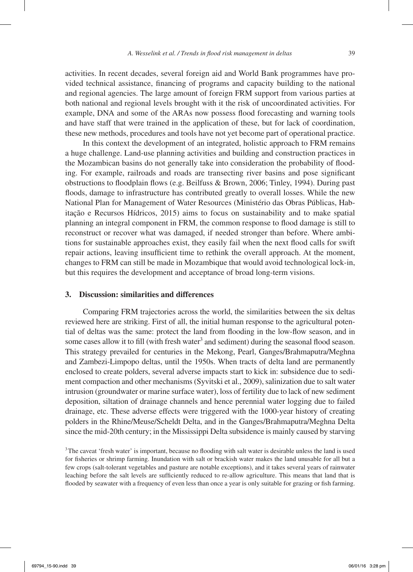activities. In recent decades, several foreign aid and World Bank programmes have provided technical assistance, financing of programs and capacity building to the national and regional agencies. The large amount of foreign FRM support from various parties at both national and regional levels brought with it the risk of uncoordinated activities. For example, DNA and some of the ARAs now possess flood forecasting and warning tools and have staff that were trained in the application of these, but for lack of coordination, these new methods, procedures and tools have not yet become part of operational practice.

In this context the development of an integrated, holistic approach to FRM remains a huge challenge. Land-use planning activities and building and construction practices in the Mozambican basins do not generally take into consideration the probability of flooding. For example, railroads and roads are transecting river basins and pose significant obstructions to floodplain flows (e.g. Beilfuss & Brown, 2006; Tinley, 1994). During past floods, damage to infrastructure has contributed greatly to overall losses. While the new National Plan for Management of Water Resources (Ministério das Obras Públicas, Habitação e Recursos Hídricos, 2015) aims to focus on sustainability and to make spatial planning an integral component in FRM, the common response to flood damage is still to reconstruct or recover what was damaged, if needed stronger than before. Where ambitions for sustainable approaches exist, they easily fail when the next flood calls for swift repair actions, leaving insufficient time to rethink the overall approach. At the moment, changes to FRM can still be made in Mozambique that would avoid technological lock-in, but this requires the development and acceptance of broad long-term visions.

## **3. Discussion: similarities and differences**

Comparing FRM trajectories across the world, the similarities between the six deltas reviewed here are striking. First of all, the initial human response to the agricultural potential of deltas was the same: protect the land from flooding in the low-flow season, and in some cases allow it to fill (with fresh water<sup>3</sup> and sediment) during the seasonal flood season. This strategy prevailed for centuries in the Mekong, Pearl, Ganges/Brahmaputra/Meghna and Zambezi-Limpopo deltas, until the 1950s. When tracts of delta land are permanently enclosed to create polders, several adverse impacts start to kick in: subsidence due to sediment compaction and other mechanisms (Syvitski et al., 2009), salinization due to salt water intrusion (groundwater or marine surface water), loss of fertility due to lack of new sediment deposition, siltation of drainage channels and hence perennial water logging due to failed drainage, etc. These adverse effects were triggered with the 1000-year history of creating polders in the Rhine/Meuse/Scheldt Delta, and in the Ganges/Brahmaputra/Meghna Delta since the mid-20th century; in the Mississippi Delta subsidence is mainly caused by starving

<sup>&</sup>lt;sup>3</sup>The caveat 'fresh water' is important, because no flooding with salt water is desirable unless the land is used for fisheries or shrimp farming. Inundation with salt or brackish water makes the land unusable for all but a few crops (salt-tolerant vegetables and pasture are notable exceptions), and it takes several years of rainwater leaching before the salt levels are sufficiently reduced to re-allow agriculture. This means that land that is flooded by seawater with a frequency of even less than once a year is only suitable for grazing or fish farming.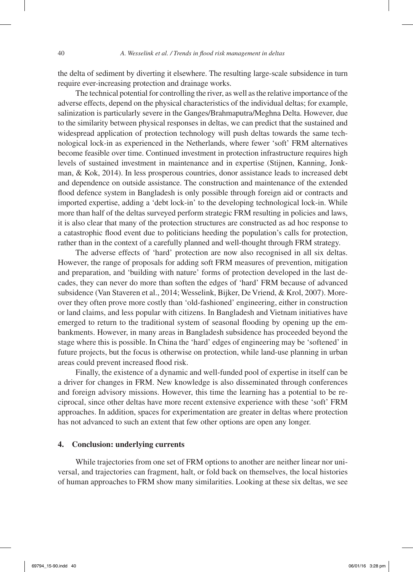the delta of sediment by diverting it elsewhere. The resulting large-scale subsidence in turn require ever-increasing protection and drainage works.

The technical potential for controlling the river, as well as the relative importance of the adverse effects, depend on the physical characteristics of the individual deltas; for example, salinization is particularly severe in the Ganges/Brahmaputra/Meghna Delta. However, due to the similarity between physical responses in deltas, we can predict that the sustained and widespread application of protection technology will push deltas towards the same technological lock-in as experienced in the Netherlands, where fewer 'soft' FRM alternatives become feasible over time. Continued investment in protection infrastructure requires high levels of sustained investment in maintenance and in expertise (Stijnen, Kanning, Jonkman, & Kok, 2014). In less prosperous countries, donor assistance leads to increased debt and dependence on outside assistance. The construction and maintenance of the extended flood defence system in Bangladesh is only possible through foreign aid or contracts and imported expertise, adding a 'debt lock-in' to the developing technological lock-in. While more than half of the deltas surveyed perform strategic FRM resulting in policies and laws, it is also clear that many of the protection structures are constructed as ad hoc response to a catastrophic flood event due to politicians heeding the population's calls for protection, rather than in the context of a carefully planned and well-thought through FRM strategy.

The adverse effects of 'hard' protection are now also recognised in all six deltas. However, the range of proposals for adding soft FRM measures of prevention, mitigation and preparation, and 'building with nature' forms of protection developed in the last decades, they can never do more than soften the edges of 'hard' FRM because of advanced subsidence (Van Staveren et al., 2014; Wesselink, Bijker, De Vriend, & Krol, 2007). Moreover they often prove more costly than 'old-fashioned' engineering, either in construction or land claims, and less popular with citizens. In Bangladesh and Vietnam initiatives have emerged to return to the traditional system of seasonal flooding by opening up the embankments. However, in many areas in Bangladesh subsidence has proceeded beyond the stage where this is possible. In China the 'hard' edges of engineering may be 'softened' in future projects, but the focus is otherwise on protection, while land-use planning in urban areas could prevent increased flood risk.

Finally, the existence of a dynamic and well-funded pool of expertise in itself can be a driver for changes in FRM. New knowledge is also disseminated through conferences and foreign advisory missions. However, this time the learning has a potential to be reciprocal, since other deltas have more recent extensive experience with these 'soft' FRM approaches. In addition, spaces for experimentation are greater in deltas where protection has not advanced to such an extent that few other options are open any longer.

# **4. Conclusion: underlying currents**

While trajectories from one set of FRM options to another are neither linear nor universal, and trajectories can fragment, halt, or fold back on themselves, the local histories of human approaches to FRM show many similarities. Looking at these six deltas, we see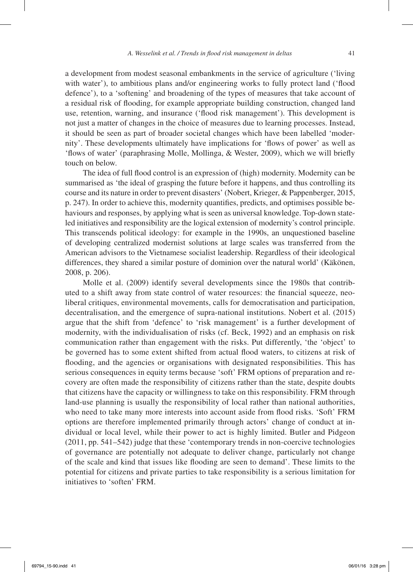a development from modest seasonal embankments in the service of agriculture ('living with water'), to ambitious plans and/or engineering works to fully protect land ('flood defence'), to a 'softening' and broadening of the types of measures that take account of a residual risk of flooding, for example appropriate building construction, changed land use, retention, warning, and insurance ('flood risk management'). This development is not just a matter of changes in the choice of measures due to learning processes. Instead, it should be seen as part of broader societal changes which have been labelled 'modernity'. These developments ultimately have implications for 'flows of power' as well as 'flows of water' (paraphrasing Molle, Mollinga, & Wester, 2009), which we will briefly touch on below.

The idea of full flood control is an expression of (high) modernity. Modernity can be summarised as 'the ideal of grasping the future before it happens, and thus controlling its course and its nature in order to prevent disasters' (Nobert, Krieger, & Pappenberger, 2015, p. 247). In order to achieve this, modernity quantifies, predicts, and optimises possible behaviours and responses, by applying what is seen as universal knowledge. Top-down stateled initiatives and responsibility are the logical extension of modernity's control principle. This transcends political ideology: for example in the 1990s, an unquestioned baseline of developing centralized modernist solutions at large scales was transferred from the American advisors to the Vietnamese socialist leadership. Regardless of their ideological differences, they shared a similar posture of dominion over the natural world' (Käkönen, 2008, p. 206).

Molle et al. (2009) identify several developments since the 1980s that contributed to a shift away from state control of water resources: the financial squeeze, neoliberal critiques, environmental movements, calls for democratisation and participation, decentralisation, and the emergence of supra-national institutions. Nobert et al. (2015) argue that the shift from 'defence' to 'risk management' is a further development of modernity, with the individualisation of risks (cf. Beck, 1992) and an emphasis on risk communication rather than engagement with the risks. Put differently, 'the 'object' to be governed has to some extent shifted from actual flood waters, to citizens at risk of flooding, and the agencies or organisations with designated responsibilities. This has serious consequences in equity terms because 'soft' FRM options of preparation and recovery are often made the responsibility of citizens rather than the state, despite doubts that citizens have the capacity or willingness to take on this responsibility. FRM through land-use planning is usually the responsibility of local rather than national authorities, who need to take many more interests into account aside from flood risks. 'Soft' FRM options are therefore implemented primarily through actors' change of conduct at individual or local level, while their power to act is highly limited. Butler and Pidgeon (2011, pp. 541–542) judge that these 'contemporary trends in non-coercive technologies of governance are potentially not adequate to deliver change, particularly not change of the scale and kind that issues like flooding are seen to demand'. These limits to the potential for citizens and private parties to take responsibility is a serious limitation for initiatives to 'soften' FRM.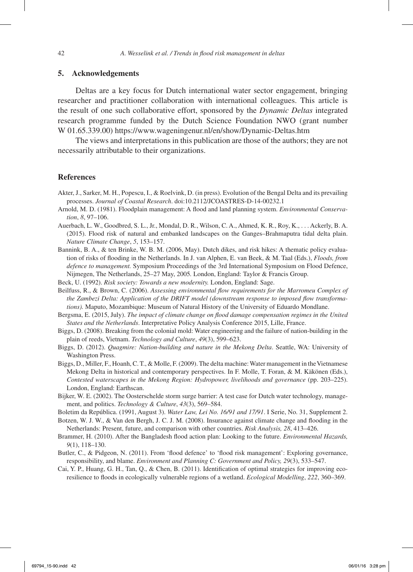# **5. Acknowledgements**

Deltas are a key focus for Dutch international water sector engagement, bringing researcher and practitioner collaboration with international colleagues. This article is the result of one such collaborative effort, sponsored by the *Dynamic Deltas* integrated research programme funded by the Dutch Science Foundation NWO (grant number W 01.65.339.00) https://www.wageningenur.nl/en/show/Dynamic-Deltas.htm

The views and interpretations in this publication are those of the authors; they are not necessarily attributable to their organizations.

#### **References**

- Akter, J., Sarker, M. H., Popescu, I., & Roelvink, D. (in press). Evolution of the Bengal Delta and its prevailing processes. *Journal of Coastal Research*. doi:10.2112/JCOASTRES-D-14-00232.1
- Arnold, M. D. (1981). Floodplain management: A flood and land planning system. *Environmental Conservation*, *8*, 97–106.
- Auerbach, L. W., Goodbred, S. L., Jr., Mondal, D. R., Wilson, C. A., Ahmed, K. R., Roy, K., . . . Ackerly, B. A. (2015). Flood risk of natural and embanked landscapes on the Ganges–Brahmaputra tidal delta plain. *Nature Climate Change*, *5*, 153–157.
- Bannink, B. A., & ten Brinke, W. B. M. (2006, May). Dutch dikes, and risk hikes: A thematic policy evaluation of risks of flooding in the Netherlands. In J. van Alphen, E. van Beek, & M. Taal (Eds.), *Floods, from defence to management.* Symposium Proceedings of the 3rd International Symposium on Flood Defence, Nijmegen, The Netherlands, 25–27 May, 2005*.* London, England: Taylor & Francis Group.
- Beck, U. (1992). *Risk society: Towards a new modernity.* London, England: Sage.
- Beilfuss, R., & Brown, C. (2006). *Assessing environmental flow requirements for the Marromeu Complex of the Zambezi Delta: Application of the DRIFT model (downstream response to imposed flow transformations).* Maputo, Mozambique: Museum of Natural History of the University of Eduardo Mondlane.
- Bergsma, E. (2015, July). *The impact of climate change on flood damage compensation regimes in the United States and the Netherlands*. Interpretative Policy Analysis Conference 2015, Lille, France.
- Biggs, D. (2008). Breaking from the colonial mold: Water engineering and the failure of nation-building in the plain of reeds, Vietnam. *Technology and Culture*, *49*(3), 599–623.

Biggs, D. (2012). *Quagmire: Nation-building and nature in the Mekong Delta*. Seattle, WA: University of Washington Press.

- Biggs, D., Miller, F., Hoanh, C. T., & Molle, F. (2009). The delta machine: Water management in the Vietnamese Mekong Delta in historical and contemporary perspectives. In F. Molle, T. Foran, & M. Käkönen (Eds.), *Contested waterscapes in the Mekong Region: Hydropower, livelihoods and governance* (pp. 203–225). London, England: Earthscan.
- Bijker, W. E. (2002). The Oosterschelde storm surge barrier: A test case for Dutch water technology, management, and politics. *Technology & Culture*, *43*(3), 569–584.

Boletim da República. (1991, August 3). *Water Law, Lei No. 16/91 and 17/91*. I Serie, No. 31, Supplement 2.

- Botzen, W. J. W., & Van den Bergh, J. C. J. M. (2008). Insurance against climate change and flooding in the Netherlands: Present, future, and comparison with other countries. *Risk Analysis, 28*, 413–426.
- Brammer, H. (2010). After the Bangladesh flood action plan: Looking to the future. *Environmental Hazards, 9*(1), 118–130.
- Butler, C., & Pidgeon, N. (2011). From 'flood defence' to 'flood risk management': Exploring governance, responsibility, and blame. *Environment and Planning C: Government and Policy, 29*(3), 533–547.
- Cai, Y. P., Huang, G. H., Tan, Q., & Chen, B. (2011). Identification of optimal strategies for improving ecoresilience to floods in ecologically vulnerable regions of a wetland. *Ecological Modelling*, *222*, 360–369.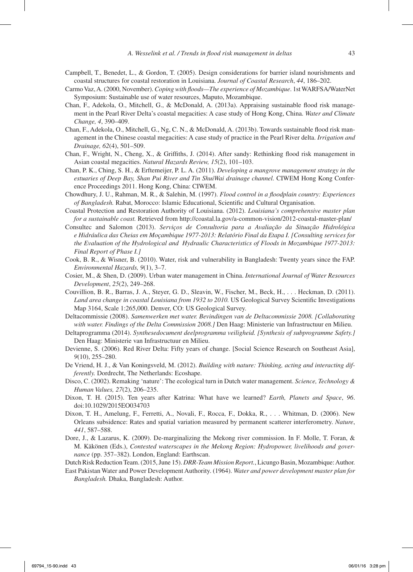- Campbell, T., Benedet, L., & Gordon, T. (2005). Design considerations for barrier island nourishments and coastal structures for coastal restoration in Louisiana. *Journal of Coastal Research*, *44*, 186–202.
- Carmo Vaz, A. (2000, November). *Coping with floods—The experience of Mozambique*. 1st WARFSA/WaterNet Symposium: Sustainable use of water resources, Maputo, Mozambique.
- Chan, F., Adekola, O., Mitchell, G., & McDonald, A. (2013a). Appraising sustainable flood risk management in the Pearl River Delta's coastal megacities: A case study of Hong Kong, China. *Water and Climate Change, 4*, 390–409.
- Chan, F., Adekola, O., Mitchell, G., Ng, C. N., & McDonald, A. (2013b). Towards sustainable flood risk management in the Chinese coastal megacities: A case study of practice in the Pearl River delta. *Irrigation and Drainage, 62*(4), 501–509.
- Chan, F., Wright, N., Cheng, X., & Griffiths, J. (2014). After sandy: Rethinking flood risk management in Asian coastal megacities. *Natural Hazards Review, 15*(2), 101–103.
- Chan, P. K., Ching, S. H., & Erftemeijer, P. L. A. (2011). *Developing a mangrove management strategy in the estuaries of Deep Bay, Shan Pui River and Tin ShuiWai drainage channel.* CIWEM Hong Kong Conference Proceedings 2011. Hong Kong, China: CIWEM.
- Chowdhury, J. U., Rahman, M. R., & Salehin, M. (1997). *Flood control in a floodplain country: Experiences of Bangladesh.* Rabat, Morocco: Islamic Educational, Scientific and Cultural Organisation.
- Coastal Protection and Restoration Authority of Louisiana. (2012). *Louisiana's comprehensive master plan for a sustainable coast.* Retrieved from http://coastal.la.gov/a-common-vision/2012-coastal-master-plan/
- Consultec and Salomon (2013). *Serviços de Consultoria para a Avaliação da Situação Hidrológica e Hidráulica das Cheias em Moçambique 1977-2013: Relatório Final da Etapa I. [Consulting services for the Evaluation of the Hydrological and Hydraulic Characteristics of Floods in Mozambique 1977-2013: Final Report of Phase I.]*
- Cook, B. R., & Wisner, B. (2010). Water, risk and vulnerability in Bangladesh: Twenty years since the FAP. *Environmental Hazards, 9*(1), 3–7.
- Cosier, M., & Shen, D. (2009). Urban water management in China. *International Journal of Water Resources Development*, *25*(2), 249–268.
- Couvillion, B. R., Barras, J. A., Steyer, G. D., Sleavin, W., Fischer, M., Beck, H., . . . Heckman, D. (2011). *Land area change in coastal Louisiana from 1932 to 2010.* US Geological Survey Scientific Investigations Map 3164, Scale 1:265,000. Denver, CO: US Geological Survey.
- Deltacommissie (2008). *Samenwerken met water. Bevindingen van de Deltacommissie 2008. [Collaborating with water. Findings of the Delta Commission 2008.]* Den Haag: Ministerie van Infrastructuur en Milieu.
- Deltaprogramma (2014). *Synthesedocument deelprogramma veiligheid. [Synthesis of subprogramme Safety.]* Den Haag: Ministerie van Infrastructuur en Milieu.
- Devienne, S. (2006). Red River Delta: Fifty years of change. [Social Science Research on Southeast Asia], *9*(10), 255–280.
- De Vriend, H. J., & Van Koningsveld, M. (2012). *Building with nature: Thinking, acting and interacting differently.* Dordrecht, The Netherlands: Ecoshape.
- Disco, C. (2002). Remaking 'nature': The ecological turn in Dutch water management. *Science, Technology & Human Values, 27*(2), 206–235.
- Dixon, T. H. (2015). Ten years after Katrina: What have we learned? *Earth, Planets and Space*, *96*. doi:10.1029/2015EO034703
- Dixon, T. H., Amelung, F., Ferretti, A., Novali, F., Rocca, F., Dokka, R., . . . Whitman, D. (2006). New Orleans subsidence: Rates and spatial variation measured by permanent scatterer interferometry. *Nature*, *441*, 587–588.
- Dore, J., & Lazarus, K. (2009). De-marginalizing the Mekong river commission. In F. Molle, T. Foran, & M. Käkönen (Eds.), *Contested waterscapes in the Mekong Region: Hydropower, livelihoods and governance* (pp. 357–382). London, England: Earthscan.

Dutch Risk Reduction Team. (2015, June 15). *DRR-Team Mission Report.*, Licungo Basin, Mozambique: Author.

East Pakistan Water and Power Development Authority. (1964). *Water and power development master plan for Bangladesh.* Dhaka, Bangladesh: Author.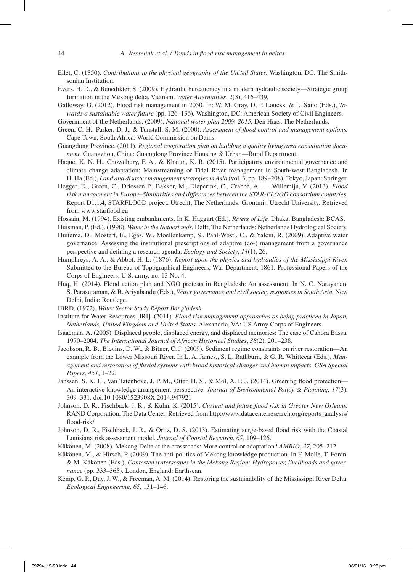- Ellet, C. (1850). *Contributions to the physical geography of the United States.* Washington, DC: The Smithsonian Institution.
- Evers, H. D., & Benedikter, S. (2009). Hydraulic bureaucracy in a modern hydraulic society—Strategic group formation in the Mekong delta, Vietnam. *Water Alternatives*, *2*(3), 416–439.
- Galloway, G. (2012). Flood risk management in 2050. In: W. M. Gray, D. P. Loucks, & L. Saito (Eds.), *Towards a sustainable water future* (pp. 126–136)*.* Washington, DC: American Society of Civil Engineers.
- Government of the Netherlands. (2009). *National water plan 2009–2015.* Den Haas, The Netherlands.
- Green, C. H., Parker, D. J., & Tunstall, S. M. (2000). *Assessment of flood control and management options.* Cape Town, South Africa: World Commission on Dams.
- Guangdong Province. (2011). *Regional cooperation plan on building a quality living area consultation document.* Guangzhou, China: Guangdong Province Housing & Urban—Rural Department.
- Haque, K. N. H., Chowdhury, F. A., & Khatun, K. R. (2015). Participatory environmental governance and climate change adaptation: Mainstreaming of Tidal River management in South-west Bangladesh. In H. Ha (Ed.), *Land and disaster management strategies in Asia* (vol. 3, pp. 189–208). Tokyo, Japan: Springer.
- Hegger, D., Green, C., Driessen P., Bakker, M., Dieperink, C., Crabbé, A . . . Willemijn, V. (2013). *Flood risk management in Europe–Similarities and differences between the STAR-FLOOD consortium countries*. Report D1.1.4, STARFLOOD project. Utrecht, The Netherlands: Grontmij, Utrecht University. Retrieved from www.starflood.eu
- Hossain, M. (1994). Existing embankments. In K. Haggart (Ed.), *Rivers of Life.* Dhaka, Bangladesh: BCAS.
- Huisman, P. (Ed.). (1998). *Water in the Netherlands.* Delft, The Netherlands: Netherlands Hydrological Society.
- Huitema, D., Mostert, E., Egas, W., Moellenkamp, S., Pahl-Wostl, C., & Yalcin, R. (2009). Adaptive water governance: Assessing the institutional prescriptions of adaptive (co-) management from a governance perspective and defining a research agenda. *Ecology and Society*, *14*(1), 26.
- Humphreys, A. A., & Abbot, H. L. (1876). *Report upon the physics and hydraulics of the Mississippi River.* Submitted to the Bureau of Topographical Engineers, War Department, 1861. Professional Papers of the Corps of Engineers, U.S. army, no. 13 No. 4.
- Huq, H. (2014). Flood action plan and NGO protests in Bangladesh: An assessment. In N. C. Narayanan, S. Parasuraman, & R. Ariyabandu (Eds.), *Water governance and civil society responses in South Asia.* New Delhi, India: Routlege.
- IBRD. (1972). *Water Sector Study Report Bangladesh.*
- Institute for Water Resources [IRI]. (2011). *Flood risk management approaches as being practiced in Japan, Netherlands, United Kingdom and United States*. Alexandria, VA: US Army Corps of Engineers.
- Isaacman, A. (2005). Displaced people, displaced energy, and displaced memories: The case of Cahora Bassa, 1970–2004. *The International Journal of African Historical Studies*, *38*(2), 201–238.
- Jacobson, R. B., Blevins, D. W., & Bitner, C. J. (2009). Sediment regime constraints on river restoration—An example from the Lower Missouri River. In L. A. James,, S. L. Rathburn, & G. R. Whittecar (Eds.), *Management and restoration of fluvial systems with broad historical changes and human impacts. GSA Special Papers*, *451*, 1–22.
- Janssen, S. K. H., Van Tatenhove, J. P. M., Otter, H. S., & Mol, A. P. J. (2014). Greening flood protection— An interactive knowledge arrangement perspective. *Journal of Environmental Policy & Planning, 17*(3), 309–331. doi:10.1080/1523908X.2014.947921
- Johnson, D. R., Fischback, J. R., & Kuhn, K. (2015). *Current and future flood risk in Greater New Orleans.* RAND Corporation, The Data Center. Retrieved from http://www.datacenterresearch.org/reports\_analysis/ flood-risk/
- Johnson, D. R., Fischback, J. R., & Ortiz, D. S. (2013). Estimating surge-based flood risk with the Coastal Louisiana risk assessment model. *Journal of Coastal Research*, *67*, 109–126.
- Käkönen, M. (2008). Mekong Delta at the crossroads: More control or adaptation? *AMBIO*, *37*, 205–212.
- Käkönen, M., & Hirsch, P. (2009). The anti-politics of Mekong knowledge production. In F. Molle, T. Foran, & M. Käkönen (Eds.), *Contested waterscapes in the Mekong Region: Hydropower, livelihoods and governance* (pp. 333–365). London, England: Earthscan.
- Kemp, G. P., Day, J. W., & Freeman, A. M. (2014). Restoring the sustainability of the Mississippi River Delta. *Ecological Engineering*, *65*, 131–146.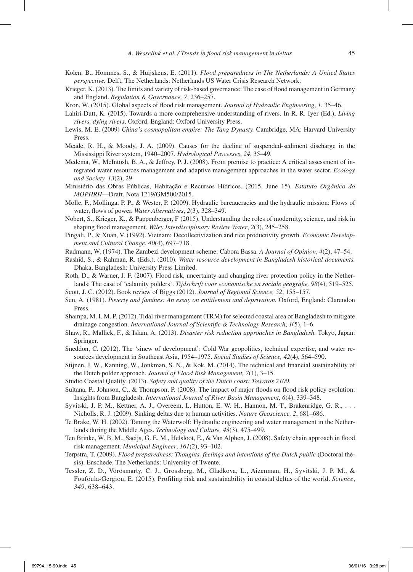- Kolen, B., Hommes, S., & Huijskens, E. (2011). *Flood preparedness in The Netherlands: A United States perspective.* Delft, The Netherlands: Netherlands US Water Crisis Research Network.
- Krieger, K. (2013). The limits and variety of risk-based governance: The case of flood management in Germany and England. *Regulation & Governance, 7*, 236–257.
- Kron, W. (2015). Global aspects of flood risk management. *Journal of Hydraulic Engineering*, *1*, 35–46.
- Lahiri-Dutt, K. (2015). Towards a more comprehensive understanding of rivers. In R. R. Iyer (Ed.), *Living rivers, dying rivers*. Oxford, England: Oxford University Press.
- Lewis, M. E. (2009) *China's cosmopolitan empire: The Tang Dynasty.* Cambridge, MA: Harvard University Press.
- Meade, R. H., & Moody, J. A. (2009). Causes for the decline of suspended-sediment discharge in the Mississippi River system, 1940–2007. *Hydrological Processes*, *24*, 35–49.
- Medema, W., McIntosh, B. A., & Jeffrey, P. J. (2008). From premise to practice: A critical assessment of integrated water resources management and adaptive management approaches in the water sector. *Ecology and Society, 13*(2), 29.
- Ministério das Obras Públicas, Habitação e Recursos Hídricos. (2015, June 15). *Estatuto Orgânico do MOPHRH*—Draft. Nota 1219/GM500/2015.
- Molle, F., Mollinga, P. P., & Wester, P. (2009). Hydraulic bureaucracies and the hydraulic mission: Flows of water, flows of power. *Water Alternatives*, *2*(3), 328–349.
- Nobert, S., Krieger, K., & Pappenberger, F (2015). Understanding the roles of modernity, science, and risk in shaping flood management. *Wiley Interdisciplinary Review Water*, *2*(3), 245–258.
- Pingali, P., & Xuan, V. (1992). Vietnam: Decollectivization and rice productivity growth. *Economic Development and Cultural Change*, *40*(4), 697–718.
- Radmann, W. (1974). The Zambezi development scheme: Cabora Bassa. *A Journal of Opinion*, *4*(2), 47–54.
- Rashid, S., & Rahman, R. (Eds.). (2010). *Water resource development in Bangladesh historical documents.* Dhaka, Bangladesh: University Press Limited.
- Roth, D., & Warner, J. F. (2007). Flood risk, uncertainty and changing river protection policy in the Netherlands: The case of 'calamity polders'. *Tijdschrift voor economische en sociale geografie, 98*(4), 519–525.
- Scott, J. C. (2012). Book review of Biggs (2012). *Journal of Regional Science, 52*, 155–157.
- Sen, A. (1981). *Poverty and famines: An essay on entitlement and deprivation.* Oxford, England: Clarendon Press.
- Shampa, M. I. M. P. (2012). Tidal river management (TRM) for selected coastal area of Bangladesh to mitigate drainage congestion. *International Journal of Scientific & Technology Research*, *1*(5), 1–6.
- Shaw, R., Mallick, F., & Islam, A. (2013). *Disaster risk reduction approaches in Bangladesh.* Tokyo, Japan: Springer.
- Sneddon, C. (2012). The 'sinew of development': Cold War geopolitics, technical expertise, and water resources development in Southeast Asia, 1954–1975. *Social Studies of Science, 42*(4), 564–590.
- Stijnen, J. W., Kanning, W., Jonkman, S. N., & Kok, M. (2014). The technical and financial sustainability of the Dutch polder approach. *Journal of Flood Risk Management, 7*(1), 3–15.
- Studio Coastal Quality. (2013). *Safety and quality of the Dutch coast: Towards 2100.*
- Sultana, P., Johnson, C., & Thompson, P. (2008). The impact of major floods on flood risk policy evolution: Insights from Bangladesh. *International Journal of River Basin Management*, *6*(4), 339–348.
- Syvitski, J. P. M., Kettner, A. J., Overeem, I., Hutton, E. W. H., Hannon, M. T., Brakenridge, G. R., . . . Nicholls, R. J. (2009). Sinking deltas due to human activities. *Nature Geoscience, 2*, 681–686.
- Te Brake, W. H. (2002). Taming the Waterwolf: Hydraulic engineering and water management in the Netherlands during the Middle Ages. *Technology and Culture, 43*(3), 475–499.
- Ten Brinke, W. B. M., Saeijs, G. E. M., Helsloot, E., & Van Alphen, J. (2008). Safety chain approach in flood risk management. *Municipal Engineer*, *161*(2), 93–102.
- Terpstra, T. (2009). *Flood preparedness: Thoughts, feelings and intentions of the Dutch public* (Doctoral thesis). Enschede, The Netherlands: University of Twente.
- Tessler, Z. D., Vörösmarty, C. J., Grossberg, M., Gladkova, L., Aizenman, H., Syvitski, J. P. M., & Foufoula-Gergiou, E. (2015). Profiling risk and sustainability in coastal deltas of the world. *Science*, *349*, 638–643.